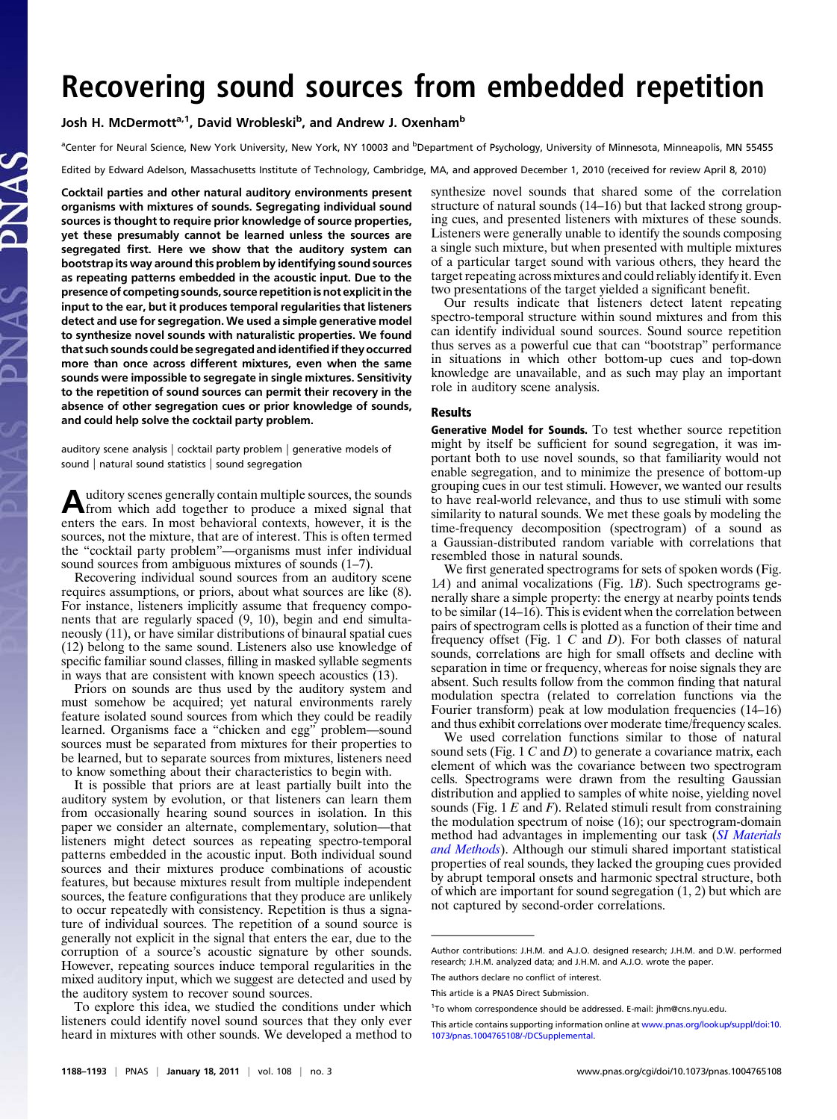# Recovering sound sources from embedded repetition

Josh H. McDermott<sup>a, 1</sup>, David Wrobleski<sup>b</sup>, and Andrew J. Oxenham<sup>b</sup>

<sup>a</sup>Center for Neural Science, New York University, New York, NY 10003 and <sup>b</sup>Department of Psychology, University of Minnesota, Minneapolis, MN 55455

Edited by Edward Adelson, Massachusetts Institute of Technology, Cambridge, MA, and approved December 1, 2010 (received for review April 8, 2010)

Cocktail parties and other natural auditory environments present organisms with mixtures of sounds. Segregating individual sound sources is thought to require prior knowledge of source properties, yet these presumably cannot be learned unless the sources are segregated first. Here we show that the auditory system can bootstrap its way around this problem by identifying sound sources as repeating patterns embedded in the acoustic input. Due to the presence of competing sounds, source repetition is not explicit in the input to the ear, but it produces temporal regularities that listeners detect and use for segregation. We used a simple generative model to synthesize novel sounds with naturalistic properties. We found that such sounds could be segregated and identified if they occurred more than once across different mixtures, even when the same sounds were impossible to segregate in single mixtures. Sensitivity to the repetition of sound sources can permit their recovery in the absence of other segregation cues or prior knowledge of sounds, and could help solve the cocktail party problem.

auditory scene analysis | cocktail party problem | generative models of sound | natural sound statistics | sound segregation

Auditory scenes generally contain multiple sources, the sounds from which add together to produce a mixed signal that enters the ears. In most behavioral contexts, however, it is the sources, not the mixture, that are of interest. This is often termed the "cocktail party problem"—organisms must infer individual sound sources from ambiguous mixtures of sounds (1–7).

Recovering individual sound sources from an auditory scene requires assumptions, or priors, about what sources are like (8). For instance, listeners implicitly assume that frequency components that are regularly spaced (9, 10), begin and end simultaneously (11), or have similar distributions of binaural spatial cues (12) belong to the same sound. Listeners also use knowledge of specific familiar sound classes, filling in masked syllable segments in ways that are consistent with known speech acoustics  $(13)$ .

Priors on sounds are thus used by the auditory system and must somehow be acquired; yet natural environments rarely feature isolated sound sources from which they could be readily learned. Organisms face a "chicken and egg" problem—sound sources must be separated from mixtures for their properties to be learned, but to separate sources from mixtures, listeners need to know something about their characteristics to begin with.

It is possible that priors are at least partially built into the auditory system by evolution, or that listeners can learn them from occasionally hearing sound sources in isolation. In this paper we consider an alternate, complementary, solution—that listeners might detect sources as repeating spectro-temporal patterns embedded in the acoustic input. Both individual sound sources and their mixtures produce combinations of acoustic features, but because mixtures result from multiple independent sources, the feature configurations that they produce are unlikely to occur repeatedly with consistency. Repetition is thus a signature of individual sources. The repetition of a sound source is generally not explicit in the signal that enters the ear, due to the corruption of a source's acoustic signature by other sounds. However, repeating sources induce temporal regularities in the mixed auditory input, which we suggest are detected and used by the auditory system to recover sound sources.

To explore this idea, we studied the conditions under which listeners could identify novel sound sources that they only ever heard in mixtures with other sounds. We developed a method to synthesize novel sounds that shared some of the correlation structure of natural sounds (14–16) but that lacked strong grouping cues, and presented listeners with mixtures of these sounds. Listeners were generally unable to identify the sounds composing a single such mixture, but when presented with multiple mixtures of a particular target sound with various others, they heard the target repeating across mixtures and could reliably identify it. Even two presentations of the target yielded a significant benefit.

Our results indicate that listeners detect latent repeating spectro-temporal structure within sound mixtures and from this can identify individual sound sources. Sound source repetition thus serves as a powerful cue that can "bootstrap" performance in situations in which other bottom-up cues and top-down knowledge are unavailable, and as such may play an important role in auditory scene analysis.

#### Results

Generative Model for Sounds. To test whether source repetition might by itself be sufficient for sound segregation, it was important both to use novel sounds, so that familiarity would not enable segregation, and to minimize the presence of bottom-up grouping cues in our test stimuli. However, we wanted our results to have real-world relevance, and thus to use stimuli with some similarity to natural sounds. We met these goals by modeling the time-frequency decomposition (spectrogram) of a sound as a Gaussian-distributed random variable with correlations that resembled those in natural sounds.

We first generated spectrograms for sets of spoken words (Fig. 1A) and animal vocalizations (Fig. 1B). Such spectrograms generally share a simple property: the energy at nearby points tends to be similar (14–16). This is evident when the correlation between pairs of spectrogram cells is plotted as a function of their time and frequency offset (Fig.  $1 \, C$  and  $D$ ). For both classes of natural sounds, correlations are high for small offsets and decline with separation in time or frequency, whereas for noise signals they are absent. Such results follow from the common finding that natural modulation spectra (related to correlation functions via the Fourier transform) peak at low modulation frequencies (14–16) and thus exhibit correlations over moderate time/frequency scales.

We used correlation functions similar to those of natural sound sets (Fig.  $1 C$  and  $D$ ) to generate a covariance matrix, each element of which was the covariance between two spectrogram cells. Spectrograms were drawn from the resulting Gaussian distribution and applied to samples of white noise, yielding novel sounds (Fig. 1  $E$  and  $F$ ). Related stimuli result from constraining the modulation spectrum of noise (16); our spectrogram-domain method had advantages in implementing our task ([SI Materials](http://www.pnas.org/lookup/suppl/doi:10.1073/pnas.1004765108/-/DCSupplemental/pnas.201004765SI.pdf?targetid=nameddest=STXT) [and Methods](http://www.pnas.org/lookup/suppl/doi:10.1073/pnas.1004765108/-/DCSupplemental/pnas.201004765SI.pdf?targetid=nameddest=STXT)). Although our stimuli shared important statistical properties of real sounds, they lacked the grouping cues provided by abrupt temporal onsets and harmonic spectral structure, both of which are important for sound segregation (1, 2) but which are not captured by second-order correlations.

Author contributions: J.H.M. and A.J.O. designed research; J.H.M. and D.W. performed research; J.H.M. analyzed data; and J.H.M. and A.J.O. wrote the paper.

The authors declare no conflict of interest.

This article is a PNAS Direct Submission.

<sup>1</sup> To whom correspondence should be addressed. E-mail: [jhm@cns.nyu.edu](mailto:jhm@cns.nyu.edu).

This article contains supporting information online at [www.pnas.org/lookup/suppl/doi:10.](http://www.pnas.org/lookup/suppl/doi:10.1073/pnas.1004765108/-/DCSupplemental) [1073/pnas.1004765108/-/DCSupplemental.](http://www.pnas.org/lookup/suppl/doi:10.1073/pnas.1004765108/-/DCSupplemental)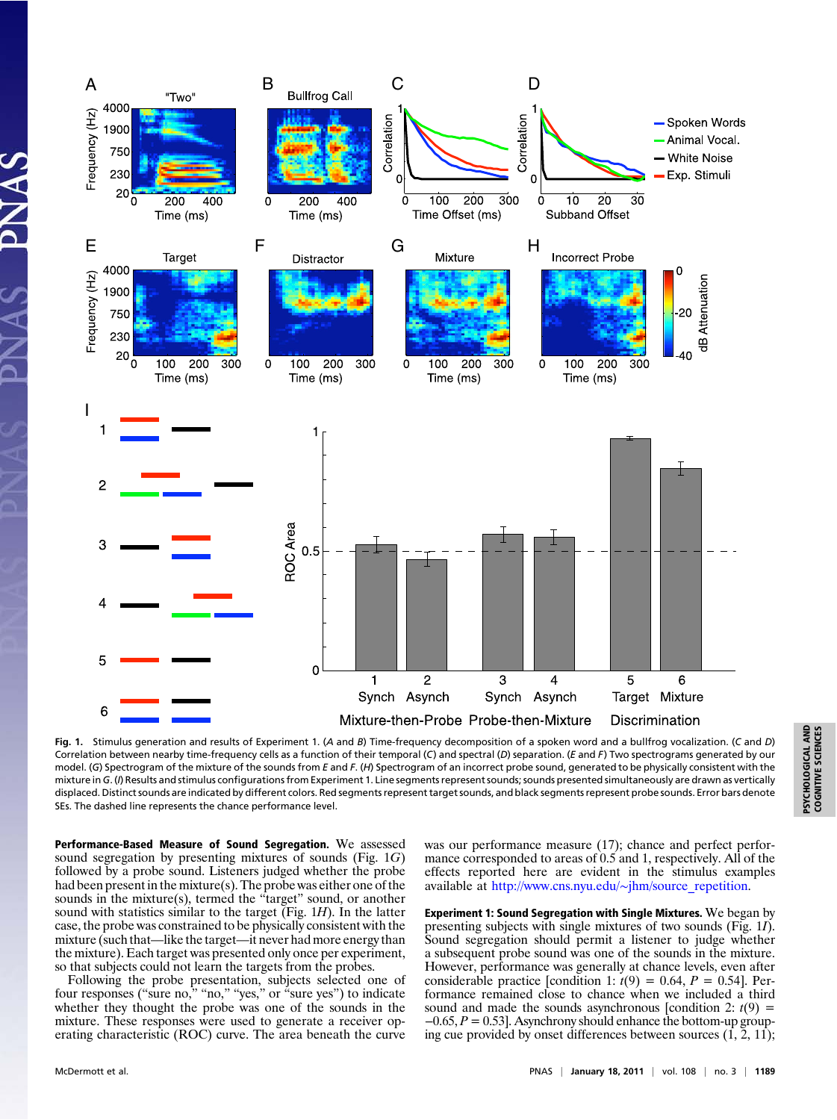

Fig. 1. Stimulus generation and results of Experiment 1. (A and B) Time-frequency decomposition of a spoken word and a bullfrog vocalization. (C and D) PSYCHOLOGICAL AND

Correlation between nearby time-frequency cells as a function of their temporal (C) and spectral (D) separation. (E and F) Two spectrograms generated by our model. (G) Spectrogram of the mixture of the sounds from E and F. (H) Spectrogram of an incorrect probe sound, generated to be physically consistent with the mixture in G. (I) Results and stimulus configurations from Experiment 1. Line segments represent sounds; sounds presented simultaneously are drawn as vertically displaced. Distinct sounds are indicated by different colors. Red segments represent target sounds, and black segments represent probe sounds. Error bars denote SEs. The dashed line represents the chance performance level.

Performance-Based Measure of Sound Segregation. We assessed sound segregation by presenting mixtures of sounds (Fig. 1G) followed by a probe sound. Listeners judged whether the probe had been present in the mixture(s). The probe was either one of the sounds in the mixture(s), termed the "target" sound, or another sound with statistics similar to the target (Fig.  $1H$ ). In the latter case, the probe was constrained to be physically consistent with the mixture (such that—like the target—it never had more energy than the mixture). Each target was presented only once per experiment, so that subjects could not learn the targets from the probes.

Following the probe presentation, subjects selected one of four responses ("sure no," "no," "yes," or "sure yes") to indicate whether they thought the probe was one of the sounds in the mixture. These responses were used to generate a receiver operating characteristic (ROC) curve. The area beneath the curve was our performance measure (17); chance and perfect performance corresponded to areas of  $0.5$  and 1, respectively. All of the effects reported here are evident in the stimulus examples available at [http://www.cns.nyu.edu/](http://www.cns.nyu.edu/%7Ejhm/source_repetition)∼jhm/source\_repetition.

Experiment 1: Sound Segregation with Single Mixtures. We began by presenting subjects with single mixtures of two sounds (Fig. 1I). Sound segregation should permit a listener to judge whether a subsequent probe sound was one of the sounds in the mixture. However, performance was generally at chance levels, even after considerable practice [condition 1:  $t(9) = 0.64$ ,  $P = 0.54$ ]. Performance remained close to chance when we included a third sound and made the sounds asynchronous [condition 2:  $t(9)$  =  $-0.65$ ,  $P = 0.53$ ]. Asynchrony should enhance the bottom-up grouping cue provided by onset differences between sources (1, 2, 11);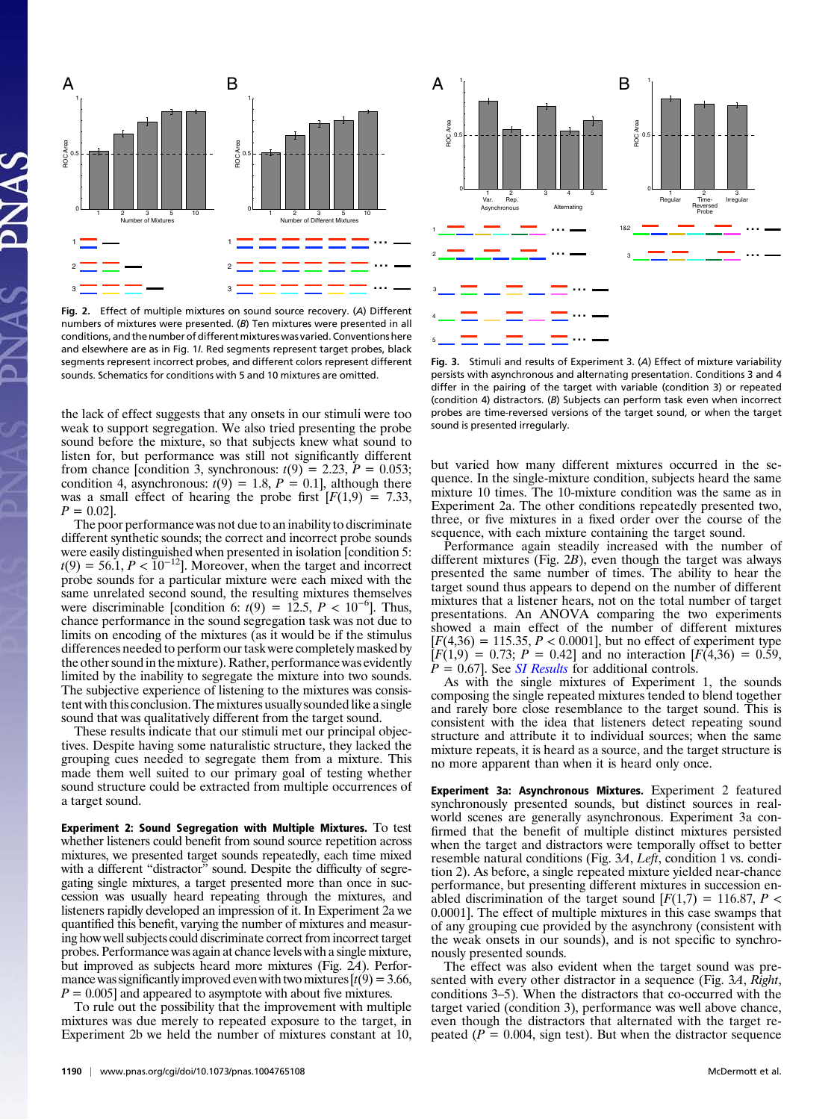![](_page_2_Figure_0.jpeg)

Fig. 2. Effect of multiple mixtures on sound source recovery. (A) Different numbers of mixtures were presented. (B) Ten mixtures were presented in all conditions, and the number of different mixtures was varied. Conventions here and elsewhere are as in Fig. 1I. Red segments represent target probes, black segments represent incorrect probes, and different colors represent different sounds. Schematics for conditions with 5 and 10 mixtures are omitted.

the lack of effect suggests that any onsets in our stimuli were too weak to support segregation. We also tried presenting the probe sound before the mixture, so that subjects knew what sound to listen for, but performance was still not significantly different from chance [condition 3, synchronous:  $t(9) = 2.23$ ,  $P = 0.053$ ; condition 4, asynchronous:  $t(9) = 1.8$ ,  $P = 0.1$ ], although there was a small effect of hearing the probe first  $[F(1,9) = 7.33]$ ,  $P = 0.02$ .

The poor performance was not due to an inability to discriminate different synthetic sounds; the correct and incorrect probe sounds were easily distinguished when presented in isolation [condition 5:  $t(9) = 56.1, P < 10^{-12}$ . Moreover, when the target and incorrect probe sounds for a particular mixture were each mixed with the same unrelated second sound, the resulting mixtures themselves were discriminable [condition 6:  $t(9) = 12.5$ ,  $P < 10^{-6}$ ]. Thus, chance performance in the sound segregation task was not due to limits on encoding of the mixtures (as it would be if the stimulus differences needed to perform our task were completely masked by the other sound in the mixture). Rather, performance was evidently limited by the inability to segregate the mixture into two sounds. The subjective experience of listening to the mixtures was consistent with this conclusion. The mixtures usually sounded like a single sound that was qualitatively different from the target sound.

These results indicate that our stimuli met our principal objectives. Despite having some naturalistic structure, they lacked the grouping cues needed to segregate them from a mixture. This made them well suited to our primary goal of testing whether sound structure could be extracted from multiple occurrences of a target sound.

Experiment 2: Sound Segregation with Multiple Mixtures. To test whether listeners could benefit from sound source repetition across mixtures, we presented target sounds repeatedly, each time mixed with a different "distractor" sound. Despite the difficulty of segregating single mixtures, a target presented more than once in succession was usually heard repeating through the mixtures, and listeners rapidly developed an impression of it. In Experiment 2a we quantified this benefit, varying the number of mixtures and measuring how well subjects could discriminate correct from incorrect target probes. Performance was again at chance levels with a single mixture, but improved as subjects heard more mixtures (Fig. 2A). Performance was significantly improved even with two mixtures  $[t(9) = 3.66,$  $P = 0.005$  and appeared to asymptote with about five mixtures.

To rule out the possibility that the improvement with multiple mixtures was due merely to repeated exposure to the target, in Experiment 2b we held the number of mixtures constant at 10,

![](_page_2_Figure_8.jpeg)

Fig. 3. Stimuli and results of Experiment 3. (A) Effect of mixture variability persists with asynchronous and alternating presentation. Conditions 3 and 4 differ in the pairing of the target with variable (condition 3) or repeated (condition 4) distractors. (B) Subjects can perform task even when incorrect probes are time-reversed versions of the target sound, or when the target sound is presented irregularly.

but varied how many different mixtures occurred in the sequence. In the single-mixture condition, subjects heard the same mixture 10 times. The 10-mixture condition was the same as in Experiment 2a. The other conditions repeatedly presented two, three, or five mixtures in a fixed order over the course of the sequence, with each mixture containing the target sound.

Performance again steadily increased with the number of different mixtures (Fig. 2B), even though the target was always presented the same number of times. The ability to hear the target sound thus appears to depend on the number of different mixtures that a listener hears, not on the total number of target presentations. An ANOVA comparing the two experiments showed a main effect of the number of different mixtures  $[F(4,36) = 115.35, P < 0.0001]$ , but no effect of experiment type  $[F(1,9) = 0.73; P = 0.42]$  and no interaction  $[F(4,36) = 0.59,$  $P = 0.67$ ]. See *[SI Results](http://www.pnas.org/lookup/suppl/doi:10.1073/pnas.1004765108/-/DCSupplemental/pnas.201004765SI.pdf?targetid=nameddest=STXT)* for additional controls.

As with the single mixtures of Experiment 1, the sounds composing the single repeated mixtures tended to blend together and rarely bore close resemblance to the target sound. This is consistent with the idea that listeners detect repeating sound structure and attribute it to individual sources; when the same mixture repeats, it is heard as a source, and the target structure is no more apparent than when it is heard only once.

Experiment 3a: Asynchronous Mixtures. Experiment 2 featured synchronously presented sounds, but distinct sources in realworld scenes are generally asynchronous. Experiment 3a confirmed that the benefit of multiple distinct mixtures persisted when the target and distractors were temporally offset to better resemble natural conditions (Fig. 3A, Left, condition 1 vs. condition 2). As before, a single repeated mixture yielded near-chance performance, but presenting different mixtures in succession enabled discrimination of the target sound  $[F(1,7) = 116.87, P <$ 0.0001]. The effect of multiple mixtures in this case swamps that of any grouping cue provided by the asynchrony (consistent with the weak onsets in our sounds), and is not specific to synchronously presented sounds.

The effect was also evident when the target sound was presented with every other distractor in a sequence (Fig. 3A, Right, conditions 3–5). When the distractors that co-occurred with the target varied (condition 3), performance was well above chance, even though the distractors that alternated with the target repeated ( $P = 0.004$ , sign test). But when the distractor sequence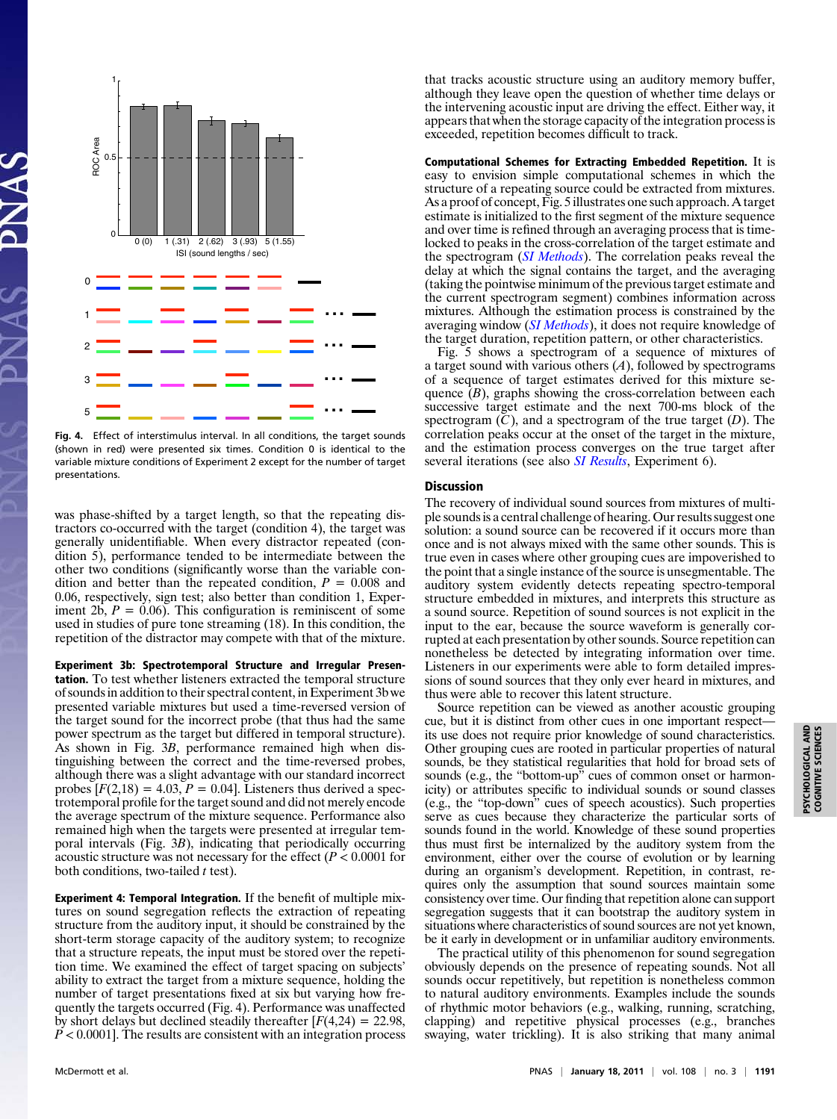![](_page_3_Figure_0.jpeg)

Fig. 4. Effect of interstimulus interval. In all conditions, the target sounds (shown in red) were presented six times. Condition 0 is identical to the variable mixture conditions of Experiment 2 except for the number of target presentations.

was phase-shifted by a target length, so that the repeating distractors co-occurred with the target (condition 4), the target was generally unidentifiable. When every distractor repeated (condition 5), performance tended to be intermediate between the other two conditions (significantly worse than the variable condition and better than the repeated condition,  $P = 0.008$  and 0.06, respectively, sign test; also better than condition 1, Experiment 2b,  $P = 0.06$ ). This configuration is reminiscent of some used in studies of pure tone streaming (18). In this condition, the repetition of the distractor may compete with that of the mixture.

Experiment 3b: Spectrotemporal Structure and Irregular Presentation. To test whether listeners extracted the temporal structure of sounds in addition to their spectral content, in Experiment 3b we presented variable mixtures but used a time-reversed version of the target sound for the incorrect probe (that thus had the same power spectrum as the target but differed in temporal structure). As shown in Fig. 3B, performance remained high when distinguishing between the correct and the time-reversed probes, although there was a slight advantage with our standard incorrect probes  $[F(2,18) = 4.03, P = 0.04]$ . Listeners thus derived a spectrotemporal profile for the target sound and did not merely encode the average spectrum of the mixture sequence. Performance also remained high when the targets were presented at irregular temporal intervals (Fig. 3B), indicating that periodically occurring acoustic structure was not necessary for the effect  $(P < 0.0001$  for both conditions, two-tailed  $t$  test).

Experiment 4: Temporal Integration. If the benefit of multiple mixtures on sound segregation reflects the extraction of repeating structure from the auditory input, it should be constrained by the short-term storage capacity of the auditory system; to recognize that a structure repeats, the input must be stored over the repetition time. We examined the effect of target spacing on subjects' ability to extract the target from a mixture sequence, holding the number of target presentations fixed at six but varying how frequently the targets occurred (Fig. 4). Performance was unaffected by short delays but declined steadily thereafter  $[F(4,24) = 22.98]$ ,  $P < 0.0001$ . The results are consistent with an integration process that tracks acoustic structure using an auditory memory buffer, although they leave open the question of whether time delays or the intervening acoustic input are driving the effect. Either way, it appears that when the storage capacity of the integration process is exceeded, repetition becomes difficult to track.

Computational Schemes for Extracting Embedded Repetition. It is easy to envision simple computational schemes in which the structure of a repeating source could be extracted from mixtures. As a proof of concept, Fig. 5 illustrates one such approach. A target estimate is initialized to the first segment of the mixture sequence and over time is refined through an averaging process that is timelocked to peaks in the cross-correlation of the target estimate and the spectrogram ([SI Methods](http://www.pnas.org/lookup/suppl/doi:10.1073/pnas.1004765108/-/DCSupplemental/pnas.201004765SI.pdf?targetid=nameddest=STXT)). The correlation peaks reveal the delay at which the signal contains the target, and the averaging (taking the pointwise minimum of the previous target estimate and the current spectrogram segment) combines information across mixtures. Although the estimation process is constrained by the averaging window ([SI Methods](http://www.pnas.org/lookup/suppl/doi:10.1073/pnas.1004765108/-/DCSupplemental/pnas.201004765SI.pdf?targetid=nameddest=STXT)), it does not require knowledge of the target duration, repetition pattern, or other characteristics.

Fig. 5 shows a spectrogram of a sequence of mixtures of a target sound with various others  $(A)$ , followed by spectrograms of a sequence of target estimates derived for this mixture sequence  $(B)$ , graphs showing the cross-correlation between each successive target estimate and the next 700-ms block of the spectrogram  $(C)$ , and a spectrogram of the true target  $(D)$ . The correlation peaks occur at the onset of the target in the mixture, and the estimation process converges on the true target after several iterations (see also *[SI Results](http://www.pnas.org/lookup/suppl/doi:10.1073/pnas.1004765108/-/DCSupplemental/pnas.201004765SI.pdf?targetid=nameddest=STXT)*, Experiment 6).

### **Discussion**

The recovery of individual sound sources from mixtures of multiple sounds is a central challenge of hearing. Our results suggest one solution: a sound source can be recovered if it occurs more than once and is not always mixed with the same other sounds. This is true even in cases where other grouping cues are impoverished to the point that a single instance of the source is unsegmentable. The auditory system evidently detects repeating spectro-temporal structure embedded in mixtures, and interprets this structure as a sound source. Repetition of sound sources is not explicit in the input to the ear, because the source waveform is generally corrupted at each presentation by other sounds. Source repetition can nonetheless be detected by integrating information over time. Listeners in our experiments were able to form detailed impressions of sound sources that they only ever heard in mixtures, and thus were able to recover this latent structure.

Source repetition can be viewed as another acoustic grouping cue, but it is distinct from other cues in one important respect its use does not require prior knowledge of sound characteristics. Other grouping cues are rooted in particular properties of natural sounds, be they statistical regularities that hold for broad sets of sounds (e.g., the "bottom-up" cues of common onset or harmon-icity) or attributes specific to individual sounds or sound classes (e.g., the "top-down" cues of speech acoustics). Such properties serve as cues because they characterize the particular sorts of sounds found in the world. Knowledge of these sound properties thus must first be internalized by the auditory system from the environment, either over the course of evolution or by learning during an organism's development. Repetition, in contrast, requires only the assumption that sound sources maintain some consistency over time. Our finding that repetition alone can support segregation suggests that it can bootstrap the auditory system in situations where characteristics of sound sources are not yet known, be it early in development or in unfamiliar auditory environments.

The practical utility of this phenomenon for sound segregation obviously depends on the presence of repeating sounds. Not all sounds occur repetitively, but repetition is nonetheless common to natural auditory environments. Examples include the sounds of rhythmic motor behaviors (e.g., walking, running, scratching, clapping) and repetitive physical processes (e.g., branches swaying, water trickling). It is also striking that many animal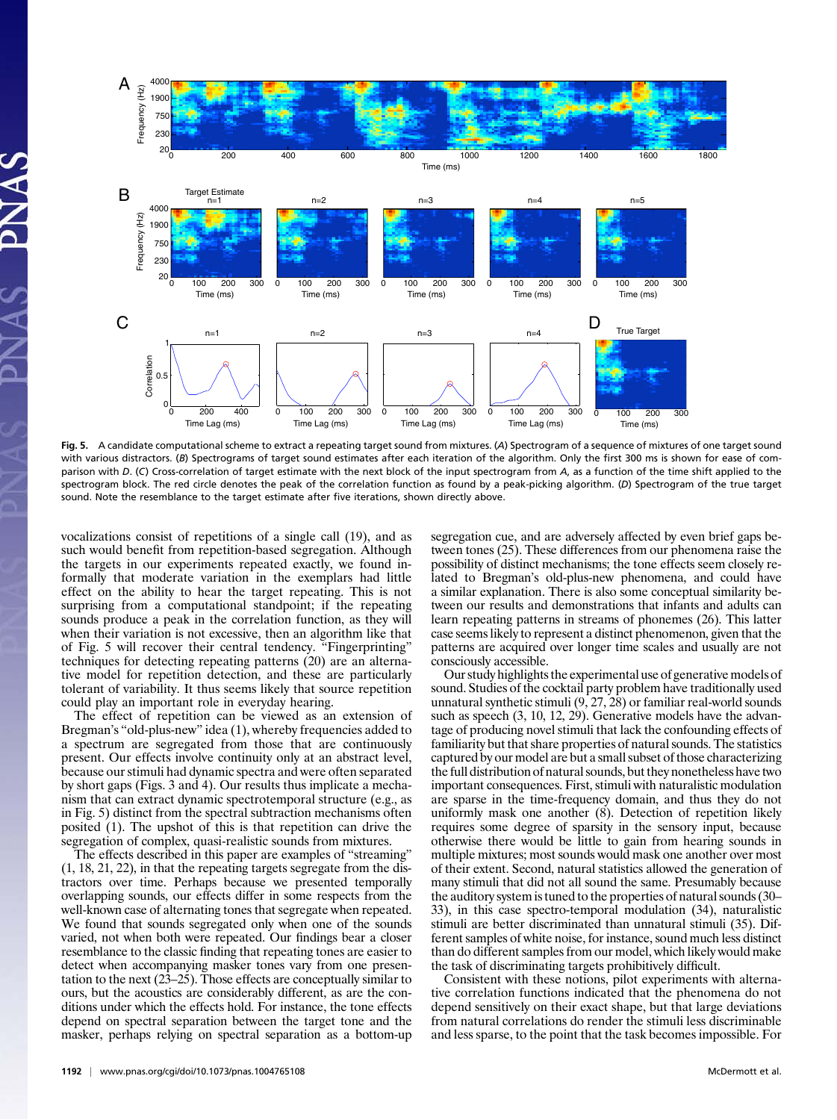![](_page_4_Figure_0.jpeg)

Fig. 5. A candidate computational scheme to extract a repeating target sound from mixtures. (A) Spectrogram of a sequence of mixtures of one target sound with various distractors. (B) Spectrograms of target sound estimates after each iteration of the algorithm. Only the first 300 ms is shown for ease of comparison with D. (C) Cross-correlation of target estimate with the next block of the input spectrogram from A, as a function of the time shift applied to the spectrogram block. The red circle denotes the peak of the correlation function as found by a peak-picking algorithm. (D) Spectrogram of the true target sound. Note the resemblance to the target estimate after five iterations, shown directly above.

vocalizations consist of repetitions of a single call (19), and as such would benefit from repetition-based segregation. Although the targets in our experiments repeated exactly, we found informally that moderate variation in the exemplars had little effect on the ability to hear the target repeating. This is not surprising from a computational standpoint; if the repeating sounds produce a peak in the correlation function, as they will when their variation is not excessive, then an algorithm like that of Fig. 5 will recover their central tendency. "Fingerprinting" techniques for detecting repeating patterns (20) are an alternative model for repetition detection, and these are particularly tolerant of variability. It thus seems likely that source repetition could play an important role in everyday hearing.

The effect of repetition can be viewed as an extension of Bregman's "old-plus-new" idea (1), whereby frequencies added to a spectrum are segregated from those that are continuously present. Our effects involve continuity only at an abstract level, because our stimuli had dynamic spectra and were often separated by short gaps (Figs. 3 and 4). Our results thus implicate a mechanism that can extract dynamic spectrotemporal structure (e.g., as in Fig. 5) distinct from the spectral subtraction mechanisms often posited (1). The upshot of this is that repetition can drive the segregation of complex, quasi-realistic sounds from mixtures.

The effects described in this paper are examples of "streaming" (1, 18, 21, 22), in that the repeating targets segregate from the distractors over time. Perhaps because we presented temporally overlapping sounds, our effects differ in some respects from the well-known case of alternating tones that segregate when repeated. We found that sounds segregated only when one of the sounds varied, not when both were repeated. Our findings bear a closer resemblance to the classic finding that repeating tones are easier to detect when accompanying masker tones vary from one presentation to the next (23–25). Those effects are conceptually similar to ours, but the acoustics are considerably different, as are the conditions under which the effects hold. For instance, the tone effects depend on spectral separation between the target tone and the masker, perhaps relying on spectral separation as a bottom-up segregation cue, and are adversely affected by even brief gaps between tones (25). These differences from our phenomena raise the possibility of distinct mechanisms; the tone effects seem closely related to Bregman's old-plus-new phenomena, and could have a similar explanation. There is also some conceptual similarity between our results and demonstrations that infants and adults can learn repeating patterns in streams of phonemes (26). This latter case seems likely to represent a distinct phenomenon, given that the patterns are acquired over longer time scales and usually are not consciously accessible.

Our study highlights the experimental use of generative models of sound. Studies of the cocktail party problem have traditionally used unnatural synthetic stimuli  $(9, 27, 28)$  or familiar real-world sounds such as speech (3, 10, 12, 29). Generative models have the advantage of producing novel stimuli that lack the confounding effects of familiarity but that share properties of natural sounds. The statistics captured by our model are but a small subset of those characterizing the full distribution of natural sounds, but they nonetheless have two important consequences. First, stimuli with naturalistic modulation are sparse in the time-frequency domain, and thus they do not uniformly mask one another (8). Detection of repetition likely requires some degree of sparsity in the sensory input, because otherwise there would be little to gain from hearing sounds in multiple mixtures; most sounds would mask one another over most of their extent. Second, natural statistics allowed the generation of many stimuli that did not all sound the same. Presumably because the auditory system is tuned to the properties of natural sounds (30– 33), in this case spectro-temporal modulation (34), naturalistic stimuli are better discriminated than unnatural stimuli (35). Different samples of white noise, for instance, sound much less distinct than do different samples from our model, which likely would make the task of discriminating targets prohibitively difficult.

Consistent with these notions, pilot experiments with alternative correlation functions indicated that the phenomena do not depend sensitively on their exact shape, but that large deviations from natural correlations do render the stimuli less discriminable and less sparse, to the point that the task becomes impossible. For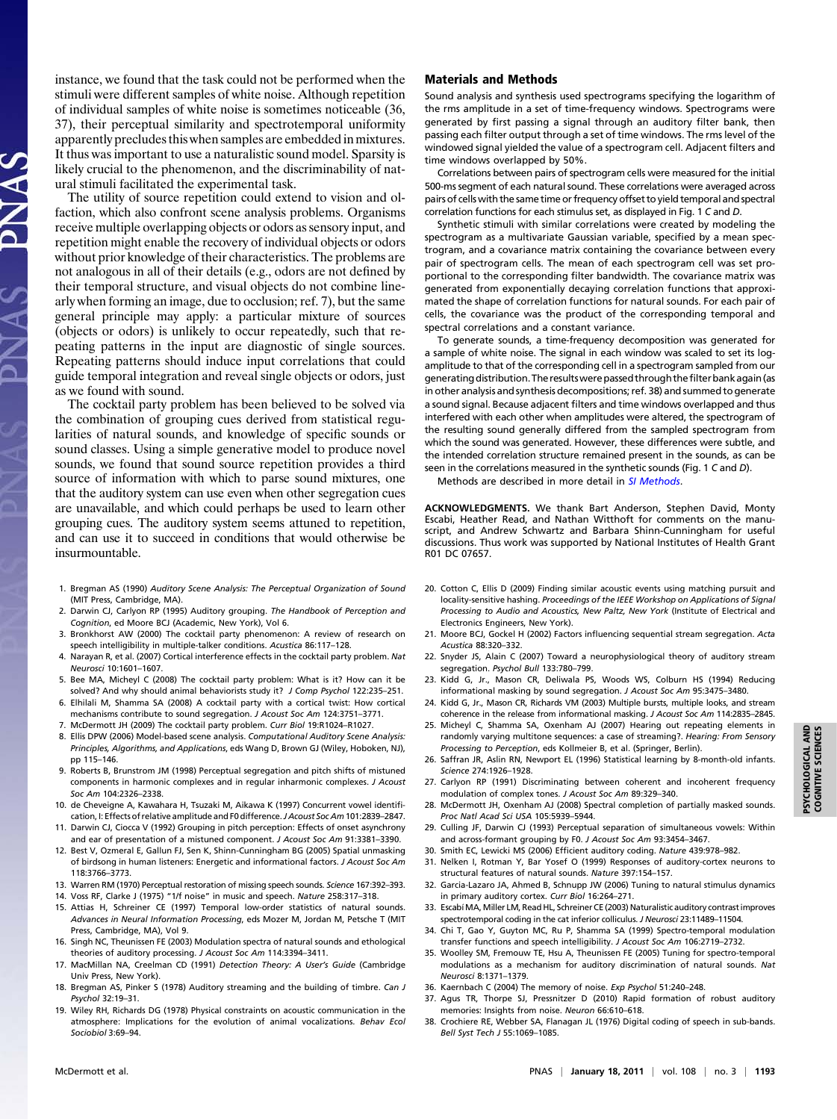instance, we found that the task could not be performed when the stimuli were different samples of white noise. Although repetition of individual samples of white noise is sometimes noticeable (36, 37), their perceptual similarity and spectrotemporal uniformity apparently precludes this when samples are embedded in mixtures. It thus was important to use a naturalistic sound model. Sparsity is likely crucial to the phenomenon, and the discriminability of natural stimuli facilitated the experimental task.

The utility of source repetition could extend to vision and olfaction, which also confront scene analysis problems. Organisms receive multiple overlapping objects or odors as sensory input, and repetition might enable the recovery of individual objects or odors without prior knowledge of their characteristics. The problems are not analogous in all of their details (e.g., odors are not defined by their temporal structure, and visual objects do not combine linearly when forming an image, due to occlusion; ref. 7), but the same general principle may apply: a particular mixture of sources (objects or odors) is unlikely to occur repeatedly, such that repeating patterns in the input are diagnostic of single sources. Repeating patterns should induce input correlations that could guide temporal integration and reveal single objects or odors, just as we found with sound.

The cocktail party problem has been believed to be solved via the combination of grouping cues derived from statistical regularities of natural sounds, and knowledge of specific sounds or sound classes. Using a simple generative model to produce novel sounds, we found that sound source repetition provides a third source of information with which to parse sound mixtures, one that the auditory system can use even when other segregation cues are unavailable, and which could perhaps be used to learn other grouping cues. The auditory system seems attuned to repetition, and can use it to succeed in conditions that would otherwise be insurmountable.

- 1. Bregman AS (1990) Auditory Scene Analysis: The Perceptual Organization of Sound (MIT Press, Cambridge, MA).
- 2. Darwin CJ, Carlyon RP (1995) Auditory grouping. The Handbook of Perception and Cognition, ed Moore BCJ (Academic, New York), Vol 6.
- 3. Bronkhorst AW (2000) The cocktail party phenomenon: A review of research on speech intelligibility in multiple-talker conditions. Acustica 86:117–128.
- 4. Narayan R, et al. (2007) Cortical interference effects in the cocktail party problem. Nat Neurosci 10:1601–1607.
- 5. Bee MA, Micheyl C (2008) The cocktail party problem: What is it? How can it be solved? And why should animal behaviorists study it? J Comp Psychol 122:235-251.
- 6. Elhilali M, Shamma SA (2008) A cocktail party with a cortical twist: How cortical mechanisms contribute to sound segregation. J Acoust Soc Am 124:3751–3771.
- 7. McDermott JH (2009) The cocktail party problem. Curr Biol 19:R1024–R1027.
- 8. Ellis DPW (2006) Model-based scene analysis. Computational Auditory Scene Analysis: Principles, Algorithms, and Applications, eds Wang D, Brown GJ (Wiley, Hoboken, NJ), pp 115–146.
- 9. Roberts B, Brunstrom JM (1998) Perceptual segregation and pitch shifts of mistuned components in harmonic complexes and in regular inharmonic complexes. J Acoust Soc Am 104:2326–2338.
- 10. de Cheveigne A, Kawahara H, Tsuzaki M, Aikawa K (1997) Concurrent vowel identification, I: Effects of relative amplitude and F0 difference.J Acoust Soc Am 101:2839–2847.
- 11. Darwin CJ, Ciocca V (1992) Grouping in pitch perception: Effects of onset asynchrony and ear of presentation of a mistuned component. J Acoust Soc Am 91:3381–3390.
- 12. Best V, Ozmeral E, Gallun FJ, Sen K, Shinn-Cunningham BG (2005) Spatial unmasking of birdsong in human listeners: Energetic and informational factors. J Acoust Soc Am 118:3766–3773.
- 13. Warren RM (1970) Perceptual restoration of missing speech sounds. Science 167:392–393.
- 14. Voss RF, Clarke J (1975) "1/f noise" in music and speech. Nature 258:317–318. 15. Attias H, Schreiner CE (1997) Temporal low-order statistics of natural sounds.
- Advances in Neural Information Processing, eds Mozer M, Jordan M, Petsche T (MIT Press, Cambridge, MA), Vol 9.
- 16. Singh NC, Theunissen FE (2003) Modulation spectra of natural sounds and ethological theories of auditory processing. J Acoust Soc Am 114:3394–3411.
- 17. MacMillan NA, Creelman CD (1991) Detection Theory: A User's Guide (Cambridge Univ Press, New York).
- 18. Bregman AS, Pinker S (1978) Auditory streaming and the building of timbre. Can J Psychol 32:19–31.
- 19. Wiley RH, Richards DG (1978) Physical constraints on acoustic communication in the atmosphere: Implications for the evolution of animal vocalizations. Behav Ecol Sociobiol 3:69–94.

### Materials and Methods

Sound analysis and synthesis used spectrograms specifying the logarithm of the rms amplitude in a set of time-frequency windows. Spectrograms were generated by first passing a signal through an auditory filter bank, then passing each filter output through a set of time windows. The rms level of the windowed signal yielded the value of a spectrogram cell. Adjacent filters and time windows overlapped by 50%.

Correlations between pairs of spectrogram cells were measured for the initial 500-ms segment of each natural sound. These correlations were averaged across pairs of cells with the same time or frequency offset to yield temporal and spectral correlation functions for each stimulus set, as displayed in Fig. 1 C and D.

Synthetic stimuli with similar correlations were created by modeling the spectrogram as a multivariate Gaussian variable, specified by a mean spectrogram, and a covariance matrix containing the covariance between every pair of spectrogram cells. The mean of each spectrogram cell was set proportional to the corresponding filter bandwidth. The covariance matrix was generated from exponentially decaying correlation functions that approximated the shape of correlation functions for natural sounds. For each pair of cells, the covariance was the product of the corresponding temporal and spectral correlations and a constant variance.

To generate sounds, a time-frequency decomposition was generated for a sample of white noise. The signal in each window was scaled to set its logamplitude to that of the corresponding cell in a spectrogram sampled from our generatingdistribution.The resultswerepassed through thefilterbank again (as in other analysis and synthesis decompositions; ref. 38) and summed to generate a sound signal. Because adjacent filters and time windows overlapped and thus interfered with each other when amplitudes were altered, the spectrogram of the resulting sound generally differed from the sampled spectrogram from which the sound was generated. However, these differences were subtle, and the intended correlation structure remained present in the sounds, as can be seen in the correlations measured in the synthetic sounds (Fig. 1 C and D).

Methods are described in more detail in [SI Methods](http://www.pnas.org/lookup/suppl/doi:10.1073/pnas.1004765108/-/DCSupplemental/pnas.201004765SI.pdf?targetid=nameddest=STXT).

ACKNOWLEDGMENTS. We thank Bart Anderson, Stephen David, Monty Escabi, Heather Read, and Nathan Witthoft for comments on the manuscript, and Andrew Schwartz and Barbara Shinn-Cunningham for useful discussions. Thus work was supported by National Institutes of Health Grant R01 DC 07657.

- 20. Cotton C, Ellis D (2009) Finding similar acoustic events using matching pursuit and locality-sensitive hashing. Proceedings of the IEEE Workshop on Applications of Signal Processing to Audio and Acoustics, New Paltz, New York (Institute of Electrical and Electronics Engineers, New York).
- 21. Moore BCJ, Gockel H (2002) Factors influencing sequential stream segregation. Acta Acustica 88:320–332.
- 22. Snyder JS, Alain C (2007) Toward a neurophysiological theory of auditory stream segregation. Psychol Bull 133:780-799.
- 23. Kidd G, Jr., Mason CR, Deliwala PS, Woods WS, Colburn HS (1994) Reducing informational masking by sound segregation. J Acoust Soc Am 95:3475–3480.
- 24. Kidd G, Jr., Mason CR, Richards VM (2003) Multiple bursts, multiple looks, and stream coherence in the release from informational masking. J Acoust Soc Am 114:2835–2845.
- 25. Micheyl C, Shamma SA, Oxenham AJ (2007) Hearing out repeating elements in randomly varying multitone sequences: a case of streaming?. Hearing: From Sensory Processing to Perception, eds Kollmeier B, et al. (Springer, Berlin).
- 26. Saffran JR, Aslin RN, Newport EL (1996) Statistical learning by 8-month-old infants. Science 274:1926–1928.
- 27. Carlyon RP (1991) Discriminating between coherent and incoherent frequency modulation of complex tones. J Acoust Soc Am 89:329–340.
- 28. McDermott JH, Oxenham AJ (2008) Spectral completion of partially masked sounds. Proc Natl Acad Sci USA 105:5939–5944.
- 29. Culling JF, Darwin CJ (1993) Perceptual separation of simultaneous vowels: Within and across-formant grouping by F0. J Acoust Soc Am 93:3454–3467.
- 30. Smith EC, Lewicki MS (2006) Efficient auditory coding. Nature 439:978–982.
- 31. Nelken I, Rotman Y, Bar Yosef O (1999) Responses of auditory-cortex neurons to structural features of natural sounds. Nature 397:154–157.
- 32. Garcia-Lazaro JA, Ahmed B, Schnupp JW (2006) Tuning to natural stimulus dynamics in primary auditory cortex. Curr Biol 16:264–271.
- 33. EscabíMA, Miller LM, Read HL, Schreiner CE (2003) Naturalistic auditory contrast improves spectrotemporal coding in the cat inferior colliculus. J Neurosci 23:11489–11504.
- 34. Chi T, Gao Y, Guyton MC, Ru P, Shamma SA (1999) Spectro-temporal modulation transfer functions and speech intelligibility. J Acoust Soc Am 106:2719–2732.
- 35. Woolley SM, Fremouw TE, Hsu A, Theunissen FE (2005) Tuning for spectro-temporal modulations as a mechanism for auditory discrimination of natural sounds. Nat Neurosci 8:1371–1379.
- 36. Kaernbach C (2004) The memory of noise. Exp Psychol 51:240–248.
- 37. Agus TR, Thorpe SJ, Pressnitzer D (2010) Rapid formation of robust auditory memories: Insights from noise. Neuron 66:610–618.
- 38. Crochiere RE, Webber SA, Flanagan JL (1976) Digital coding of speech in sub-bands. Bell Syst Tech J 55:1069–1085.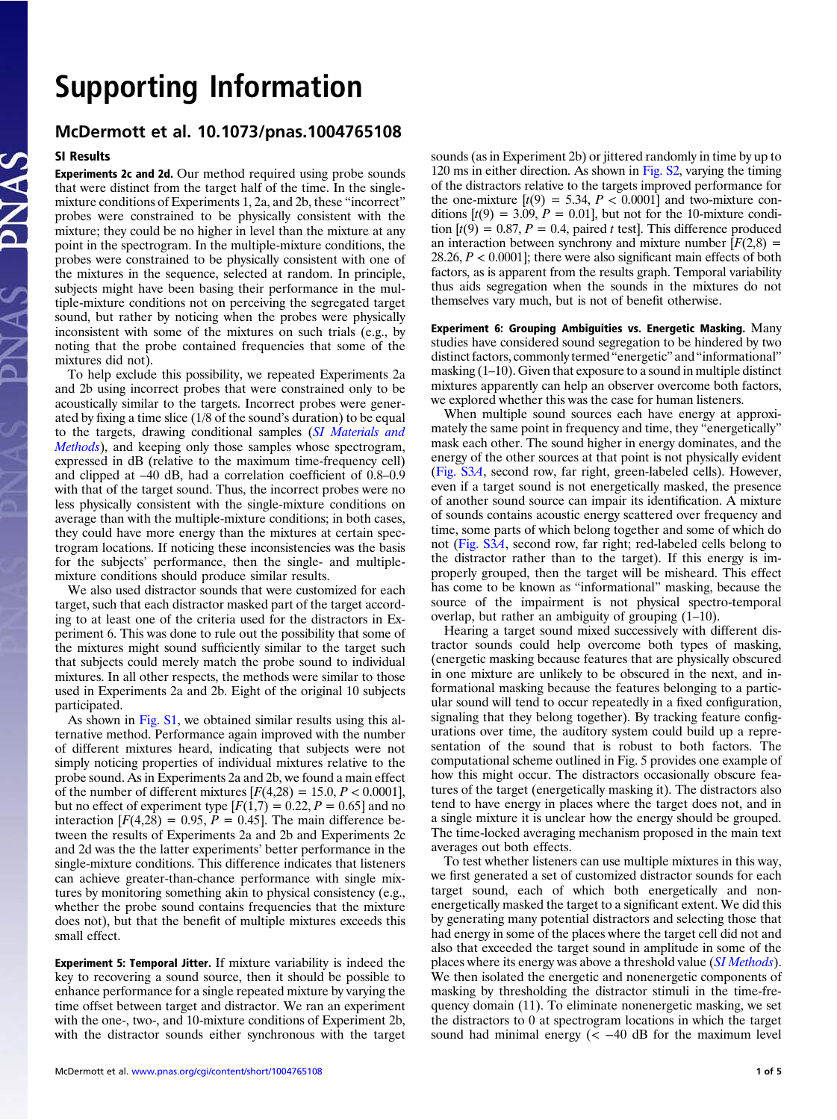# Supporting Information

# McDermott et al. 10.1073/pnas.1004765108

## SI Results

Experiments 2c and 2d. Our method required using probe sounds that were distinct from the target half of the time. In the singlemixture conditions of Experiments 1, 2a, and 2b, these "incorrect" probes were constrained to be physically consistent with the mixture; they could be no higher in level than the mixture at any point in the spectrogram. In the multiple-mixture conditions, the probes were constrained to be physically consistent with one of the mixtures in the sequence, selected at random. In principle, subjects might have been basing their performance in the multiple-mixture conditions not on perceiving the segregated target sound, but rather by noticing when the probes were physically inconsistent with some of the mixtures on such trials (e.g., by noting that the probe contained frequencies that some of the mixtures did not).

To help exclude this possibility, we repeated Experiments 2a and 2b using incorrect probes that were constrained only to be acoustically similar to the targets. Incorrect probes were generated by fixing a time slice (1/8 of the sound's duration) to be equal to the targets, drawing conditional samples ([SI Materials and](http://www.pnas.org/lookup/suppl/doi:10.1073/pnas.1004765108/-/DCSupplemental/pnas.201004765SI.pdf?targetid=nameddest=STXT) [Methods](http://www.pnas.org/lookup/suppl/doi:10.1073/pnas.1004765108/-/DCSupplemental/pnas.201004765SI.pdf?targetid=nameddest=STXT)), and keeping only those samples whose spectrogram, expressed in dB (relative to the maximum time-frequency cell) and clipped at –40 dB, had a correlation coefficient of 0.8–0.9 with that of the target sound. Thus, the incorrect probes were no less physically consistent with the single-mixture conditions on average than with the multiple-mixture conditions; in both cases, they could have more energy than the mixtures at certain spectrogram locations. If noticing these inconsistencies was the basis for the subjects' performance, then the single- and multiplemixture conditions should produce similar results.

We also used distractor sounds that were customized for each target, such that each distractor masked part of the target according to at least one of the criteria used for the distractors in Experiment 6. This was done to rule out the possibility that some of the mixtures might sound sufficiently similar to the target such that subjects could merely match the probe sound to individual mixtures. In all other respects, the methods were similar to those used in Experiments 2a and 2b. Eight of the original 10 subjects participated.

As shown in [Fig. S1,](http://www.pnas.org/lookup/suppl/doi:10.1073/pnas.1004765108/-/DCSupplemental/pnas.201004765SI.pdf?targetid=nameddest=SF1) we obtained similar results using this alternative method. Performance again improved with the number of different mixtures heard, indicating that subjects were not simply noticing properties of individual mixtures relative to the probe sound. As in Experiments 2a and 2b, we found a main effect of the number of different mixtures  $[F(4,28) = 15.0, P < 0.0001]$ , but no effect of experiment type  $[F(1,7) = 0.22, P = 0.65]$  and no interaction  $[F(4,28) = 0.95, P = 0.45]$ . The main difference between the results of Experiments 2a and 2b and Experiments 2c and 2d was the the latter experiments' better performance in the single-mixture conditions. This difference indicates that listeners can achieve greater-than-chance performance with single mixtures by monitoring something akin to physical consistency (e.g., whether the probe sound contains frequencies that the mixture does not), but that the benefit of multiple mixtures exceeds this small effect.

Experiment 5: Temporal Jitter. If mixture variability is indeed the key to recovering a sound source, then it should be possible to enhance performance for a single repeated mixture by varying the time offset between target and distractor. We ran an experiment with the one-, two-, and 10-mixture conditions of Experiment 2b, with the distractor sounds either synchronous with the target

McDermott et al. <www.pnas.org/cgi/content/short/1004765108> 1 of 5

sounds (as in Experiment 2b) or jittered randomly in time by up to 120 ms in either direction. As shown in [Fig. S2,](http://www.pnas.org/lookup/suppl/doi:10.1073/pnas.1004765108/-/DCSupplemental/pnas.201004765SI.pdf?targetid=nameddest=SF2) varying the timing of the distractors relative to the targets improved performance for the one-mixture  $[t(9) = 5.34, P < 0.0001]$  and two-mixture conditions  $[t(9) = 3.09, P = 0.01]$ , but not for the 10-mixture condition  $[t(9) = 0.87, P = 0.4$ , paired t test]. This difference produced an interaction between synchrony and mixture number  $[F(2,8) =$ 28.26,  $P < 0.0001$ ; there were also significant main effects of both factors, as is apparent from the results graph. Temporal variability thus aids segregation when the sounds in the mixtures do not themselves vary much, but is not of benefit otherwise.

Experiment 6: Grouping Ambiguities vs. Energetic Masking. Many studies have considered sound segregation to be hindered by two distinct factors, commonly termed "energetic" and "informational" masking (1–10). Given that exposure to a sound in multiple distinct mixtures apparently can help an observer overcome both factors, we explored whether this was the case for human listeners.

When multiple sound sources each have energy at approximately the same point in frequency and time, they "energetically" mask each other. The sound higher in energy dominates, and the energy of the other sources at that point is not physically evident ([Fig. S3](http://www.pnas.org/lookup/suppl/doi:10.1073/pnas.1004765108/-/DCSupplemental/pnas.201004765SI.pdf?targetid=nameddest=SF3)A, second row, far right, green-labeled cells). However, even if a target sound is not energetically masked, the presence of another sound source can impair its identification. A mixture of sounds contains acoustic energy scattered over frequency and time, some parts of which belong together and some of which do not [\(Fig. S3](http://www.pnas.org/lookup/suppl/doi:10.1073/pnas.1004765108/-/DCSupplemental/pnas.201004765SI.pdf?targetid=nameddest=SF3)A, second row, far right; red-labeled cells belong to the distractor rather than to the target). If this energy is improperly grouped, then the target will be misheard. This effect has come to be known as "informational" masking, because the source of the impairment is not physical spectro-temporal overlap, but rather an ambiguity of grouping (1–10).

Hearing a target sound mixed successively with different distractor sounds could help overcome both types of masking, (energetic masking because features that are physically obscured in one mixture are unlikely to be obscured in the next, and informational masking because the features belonging to a particular sound will tend to occur repeatedly in a fixed configuration, signaling that they belong together). By tracking feature configurations over time, the auditory system could build up a representation of the sound that is robust to both factors. The computational scheme outlined in Fig. 5 provides one example of how this might occur. The distractors occasionally obscure features of the target (energetically masking it). The distractors also tend to have energy in places where the target does not, and in a single mixture it is unclear how the energy should be grouped. The time-locked averaging mechanism proposed in the main text averages out both effects.

To test whether listeners can use multiple mixtures in this way, we first generated a set of customized distractor sounds for each target sound, each of which both energetically and nonenergetically masked the target to a significant extent. We did this by generating many potential distractors and selecting those that had energy in some of the places where the target cell did not and also that exceeded the target sound in amplitude in some of the places where its energy was above a threshold value ([SI Methods](http://www.pnas.org/lookup/suppl/doi:10.1073/pnas.1004765108/-/DCSupplemental/pnas.201004765SI.pdf?targetid=nameddest=STXT)). We then isolated the energetic and nonenergetic components of masking by thresholding the distractor stimuli in the time-frequency domain (11). To eliminate nonenergetic masking, we set the distractors to 0 at spectrogram locations in which the target sound had minimal energy  $\left(< -40$  dB for the maximum level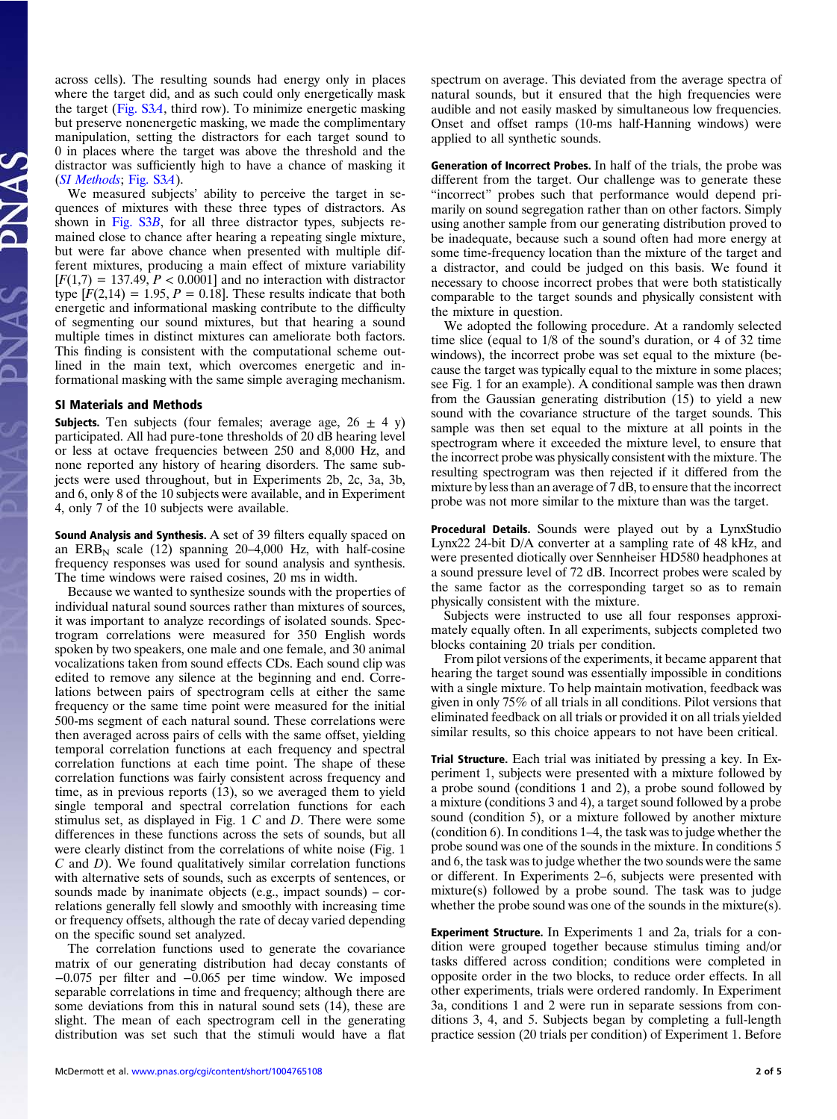across cells). The resulting sounds had energy only in places where the target did, and as such could only energetically mask the target ([Fig. S3](http://www.pnas.org/lookup/suppl/doi:10.1073/pnas.1004765108/-/DCSupplemental/pnas.201004765SI.pdf?targetid=nameddest=SF3)A, third row). To minimize energetic masking but preserve nonenergetic masking, we made the complimentary manipulation, setting the distractors for each target sound to 0 in places where the target was above the threshold and the distractor was sufficiently high to have a chance of masking it ([SI Methods](http://www.pnas.org/lookup/suppl/doi:10.1073/pnas.1004765108/-/DCSupplemental/pnas.201004765SI.pdf?targetid=nameddest=STXT); [Fig. S3](http://www.pnas.org/lookup/suppl/doi:10.1073/pnas.1004765108/-/DCSupplemental/pnas.201004765SI.pdf?targetid=nameddest=SF3)A).

We measured subjects' ability to perceive the target in sequences of mixtures with these three types of distractors. As shown in [Fig. S3](http://www.pnas.org/lookup/suppl/doi:10.1073/pnas.1004765108/-/DCSupplemental/pnas.201004765SI.pdf?targetid=nameddest=SF3)B, for all three distractor types, subjects remained close to chance after hearing a repeating single mixture, but were far above chance when presented with multiple different mixtures, producing a main effect of mixture variability  $[F(1,7) = 137.49, P < 0.0001]$  and no interaction with distractor type  $[F(2,14) = 1.95, P = 0.18]$ . These results indicate that both energetic and informational masking contribute to the difficulty of segmenting our sound mixtures, but that hearing a sound multiple times in distinct mixtures can ameliorate both factors. This finding is consistent with the computational scheme outlined in the main text, which overcomes energetic and informational masking with the same simple averaging mechanism.

### SI Materials and Methods

**Subjects.** Ten subjects (four females; average age,  $26 \pm 4$  y) participated. All had pure-tone thresholds of 20 dB hearing level or less at octave frequencies between 250 and 8,000 Hz, and none reported any history of hearing disorders. The same subjects were used throughout, but in Experiments 2b, 2c, 3a, 3b, and 6, only 8 of the 10 subjects were available, and in Experiment 4, only 7 of the 10 subjects were available.

Sound Analysis and Synthesis. A set of 39 filters equally spaced on an  $ERB<sub>N</sub>$  scale (12) spanning 20–4,000 Hz, with half-cosine frequency responses was used for sound analysis and synthesis. The time windows were raised cosines, 20 ms in width.

Because we wanted to synthesize sounds with the properties of individual natural sound sources rather than mixtures of sources, it was important to analyze recordings of isolated sounds. Spectrogram correlations were measured for 350 English words spoken by two speakers, one male and one female, and 30 animal vocalizations taken from sound effects CDs. Each sound clip was edited to remove any silence at the beginning and end. Correlations between pairs of spectrogram cells at either the same frequency or the same time point were measured for the initial 500-ms segment of each natural sound. These correlations were then averaged across pairs of cells with the same offset, yielding temporal correlation functions at each frequency and spectral correlation functions at each time point. The shape of these correlation functions was fairly consistent across frequency and time, as in previous reports (13), so we averaged them to yield single temporal and spectral correlation functions for each stimulus set, as displayed in Fig. 1 C and D. There were some differences in these functions across the sets of sounds, but all were clearly distinct from the correlations of white noise (Fig. 1  $C$  and  $D$ ). We found qualitatively similar correlation functions with alternative sets of sounds, such as excerpts of sentences, or sounds made by inanimate objects (e.g., impact sounds) – correlations generally fell slowly and smoothly with increasing time or frequency offsets, although the rate of decay varied depending on the specific sound set analyzed.

The correlation functions used to generate the covariance matrix of our generating distribution had decay constants of −0.075 per filter and −0.065 per time window. We imposed separable correlations in time and frequency; although there are some deviations from this in natural sound sets (14), these are slight. The mean of each spectrogram cell in the generating distribution was set such that the stimuli would have a flat spectrum on average. This deviated from the average spectra of natural sounds, but it ensured that the high frequencies were audible and not easily masked by simultaneous low frequencies. Onset and offset ramps (10-ms half-Hanning windows) were applied to all synthetic sounds.

Generation of Incorrect Probes. In half of the trials, the probe was different from the target. Our challenge was to generate these "incorrect" probes such that performance would depend primarily on sound segregation rather than on other factors. Simply using another sample from our generating distribution proved to be inadequate, because such a sound often had more energy at some time-frequency location than the mixture of the target and a distractor, and could be judged on this basis. We found it necessary to choose incorrect probes that were both statistically comparable to the target sounds and physically consistent with the mixture in question.

We adopted the following procedure. At a randomly selected time slice (equal to 1/8 of the sound's duration, or 4 of 32 time windows), the incorrect probe was set equal to the mixture (because the target was typically equal to the mixture in some places; see Fig. 1 for an example). A conditional sample was then drawn from the Gaussian generating distribution (15) to yield a new sound with the covariance structure of the target sounds. This sample was then set equal to the mixture at all points in the spectrogram where it exceeded the mixture level, to ensure that the incorrect probe was physically consistent with the mixture. The resulting spectrogram was then rejected if it differed from the mixture by less than an average of 7 dB, to ensure that the incorrect probe was not more similar to the mixture than was the target.

Procedural Details. Sounds were played out by a LynxStudio Lynx22 24-bit D/A converter at a sampling rate of 48 kHz, and were presented diotically over Sennheiser HD580 headphones at a sound pressure level of 72 dB. Incorrect probes were scaled by the same factor as the corresponding target so as to remain physically consistent with the mixture.

Subjects were instructed to use all four responses approximately equally often. In all experiments, subjects completed two blocks containing 20 trials per condition.

From pilot versions of the experiments, it became apparent that hearing the target sound was essentially impossible in conditions with a single mixture. To help maintain motivation, feedback was given in only 75% of all trials in all conditions. Pilot versions that eliminated feedback on all trials or provided it on all trials yielded similar results, so this choice appears to not have been critical.

Trial Structure. Each trial was initiated by pressing a key. In Experiment 1, subjects were presented with a mixture followed by a probe sound (conditions 1 and 2), a probe sound followed by a mixture (conditions 3 and 4), a target sound followed by a probe sound (condition 5), or a mixture followed by another mixture (condition 6). In conditions 1–4, the task was to judge whether the probe sound was one of the sounds in the mixture. In conditions 5 and 6, the task was to judge whether the two sounds were the same or different. In Experiments 2–6, subjects were presented with mixture(s) followed by a probe sound. The task was to judge whether the probe sound was one of the sounds in the mixture(s).

Experiment Structure. In Experiments 1 and 2a, trials for a condition were grouped together because stimulus timing and/or tasks differed across condition; conditions were completed in opposite order in the two blocks, to reduce order effects. In all other experiments, trials were ordered randomly. In Experiment 3a, conditions 1 and 2 were run in separate sessions from conditions 3, 4, and 5. Subjects began by completing a full-length practice session (20 trials per condition) of Experiment 1. Before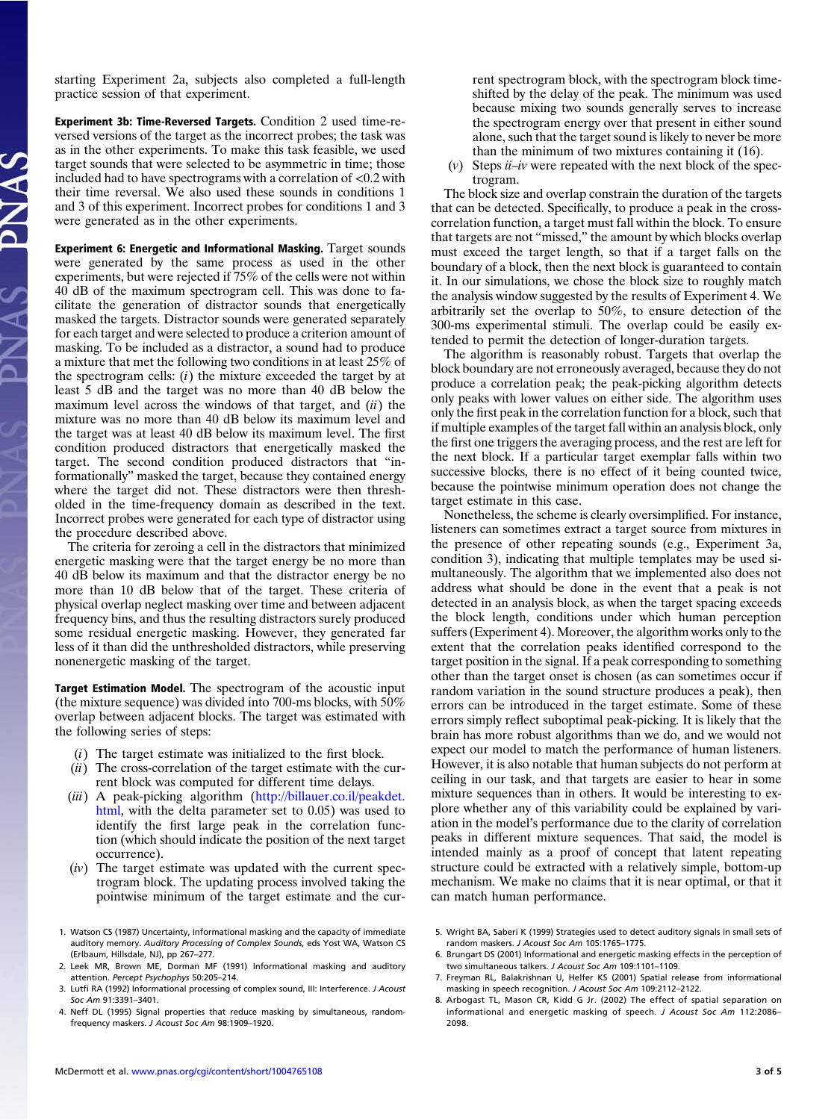starting Experiment 2a, subjects also completed a full-length practice session of that experiment.

Experiment 3b: Time-Reversed Targets. Condition 2 used time-reversed versions of the target as the incorrect probes; the task was as in the other experiments. To make this task feasible, we used target sounds that were selected to be asymmetric in time; those included had to have spectrograms with a correlation of <0.2 with their time reversal. We also used these sounds in conditions 1 and 3 of this experiment. Incorrect probes for conditions 1 and 3 were generated as in the other experiments.

Experiment 6: Energetic and Informational Masking. Target sounds were generated by the same process as used in the other experiments, but were rejected if 75% of the cells were not within 40 dB of the maximum spectrogram cell. This was done to facilitate the generation of distractor sounds that energetically masked the targets. Distractor sounds were generated separately for each target and were selected to produce a criterion amount of masking. To be included as a distractor, a sound had to produce a mixture that met the following two conditions in at least 25% of the spectrogram cells:  $(i)$  the mixture exceeded the target by at least 5 dB and the target was no more than 40 dB below the maximum level across the windows of that target, and  $(ii)$  the mixture was no more than 40 dB below its maximum level and the target was at least 40 dB below its maximum level. The first condition produced distractors that energetically masked the target. The second condition produced distractors that "informationally" masked the target, because they contained energy where the target did not. These distractors were then thresholded in the time-frequency domain as described in the text. Incorrect probes were generated for each type of distractor using the procedure described above.

The criteria for zeroing a cell in the distractors that minimized energetic masking were that the target energy be no more than 40 dB below its maximum and that the distractor energy be no more than 10 dB below that of the target. These criteria of physical overlap neglect masking over time and between adjacent frequency bins, and thus the resulting distractors surely produced some residual energetic masking. However, they generated far less of it than did the unthresholded distractors, while preserving nonenergetic masking of the target.

Target Estimation Model. The spectrogram of the acoustic input (the mixture sequence) was divided into 700-ms blocks, with 50% overlap between adjacent blocks. The target was estimated with the following series of steps:

- $(i)$  The target estimate was initialized to the first block.
- $(ii)$  The cross-correlation of the target estimate with the current block was computed for different time delays.
- (*iii*) A peak-picking algorithm  $\frac{http://billauer.co-il/peakdet.}{}$ [html](http://billauer.co.il/peakdet.html), with the delta parameter set to 0.05) was used to identify the first large peak in the correlation function (which should indicate the position of the next target occurrence).
- $(iv)$  The target estimate was updated with the current spectrogram block. The updating process involved taking the pointwise minimum of the target estimate and the cur-

4. Neff DL (1995) Signal properties that reduce masking by simultaneous, randomfrequency maskers. J Acoust Soc Am 98:1909–1920.

rent spectrogram block, with the spectrogram block timeshifted by the delay of the peak. The minimum was used because mixing two sounds generally serves to increase the spectrogram energy over that present in either sound alone, such that the target sound is likely to never be more than the minimum of two mixtures containing it (16).

(v) Steps  $\ddot{u}-\dot{v}$  were repeated with the next block of the spectrogram.

The block size and overlap constrain the duration of the targets that can be detected. Specifically, to produce a peak in the crosscorrelation function, a target must fall within the block. To ensure that targets are not "missed," the amount by which blocks overlap must exceed the target length, so that if a target falls on the boundary of a block, then the next block is guaranteed to contain it. In our simulations, we chose the block size to roughly match the analysis window suggested by the results of Experiment 4. We arbitrarily set the overlap to 50%, to ensure detection of the 300-ms experimental stimuli. The overlap could be easily extended to permit the detection of longer-duration targets.

The algorithm is reasonably robust. Targets that overlap the block boundary are not erroneously averaged, because they do not produce a correlation peak; the peak-picking algorithm detects only peaks with lower values on either side. The algorithm uses only the first peak in the correlation function for a block, such that if multiple examples of the target fall within an analysis block, only the first one triggers the averaging process, and the rest are left for the next block. If a particular target exemplar falls within two successive blocks, there is no effect of it being counted twice, because the pointwise minimum operation does not change the target estimate in this case.

Nonetheless, the scheme is clearly oversimplified. For instance, listeners can sometimes extract a target source from mixtures in the presence of other repeating sounds (e.g., Experiment 3a, condition 3), indicating that multiple templates may be used simultaneously. The algorithm that we implemented also does not address what should be done in the event that a peak is not detected in an analysis block, as when the target spacing exceeds the block length, conditions under which human perception suffers (Experiment 4). Moreover, the algorithm works only to the extent that the correlation peaks identified correspond to the target position in the signal. If a peak corresponding to something other than the target onset is chosen (as can sometimes occur if random variation in the sound structure produces a peak), then errors can be introduced in the target estimate. Some of these errors simply reflect suboptimal peak-picking. It is likely that the brain has more robust algorithms than we do, and we would not expect our model to match the performance of human listeners. However, it is also notable that human subjects do not perform at ceiling in our task, and that targets are easier to hear in some mixture sequences than in others. It would be interesting to explore whether any of this variability could be explained by variation in the model's performance due to the clarity of correlation peaks in different mixture sequences. That said, the model is intended mainly as a proof of concept that latent repeating structure could be extracted with a relatively simple, bottom-up mechanism. We make no claims that it is near optimal, or that it can match human performance.

8. Arbogast TL, Mason CR, Kidd G Jr. (2002) The effect of spatial separation on informational and energetic masking of speech. J Acoust Soc Am 112:2086– 2098.

<sup>1.</sup> Watson CS (1987) Uncertainty, informational masking and the capacity of immediate auditory memory. Auditory Processing of Complex Sounds, eds Yost WA, Watson CS (Erlbaum, Hillsdale, NJ), pp 267–277.

<sup>2.</sup> Leek MR, Brown ME, Dorman MF (1991) Informational masking and auditory attention. Percept Psychophys 50:205–214.

<sup>3.</sup> Lutfi RA (1992) Informational processing of complex sound, III: Interference. J Acoust Soc Am 91:3391–3401.

<sup>5.</sup> Wright BA, Saberi K (1999) Strategies used to detect auditory signals in small sets of random maskers. J Acoust Soc Am 105:1765–1775.

<sup>6.</sup> Brungart DS (2001) Informational and energetic masking effects in the perception of two simultaneous talkers. J Acoust Soc Am 109:1101–1109.

<sup>7.</sup> Freyman RL, Balakrishnan U, Helfer KS (2001) Spatial release from informational masking in speech recognition. J Acoust Soc Am 109:2112–2122.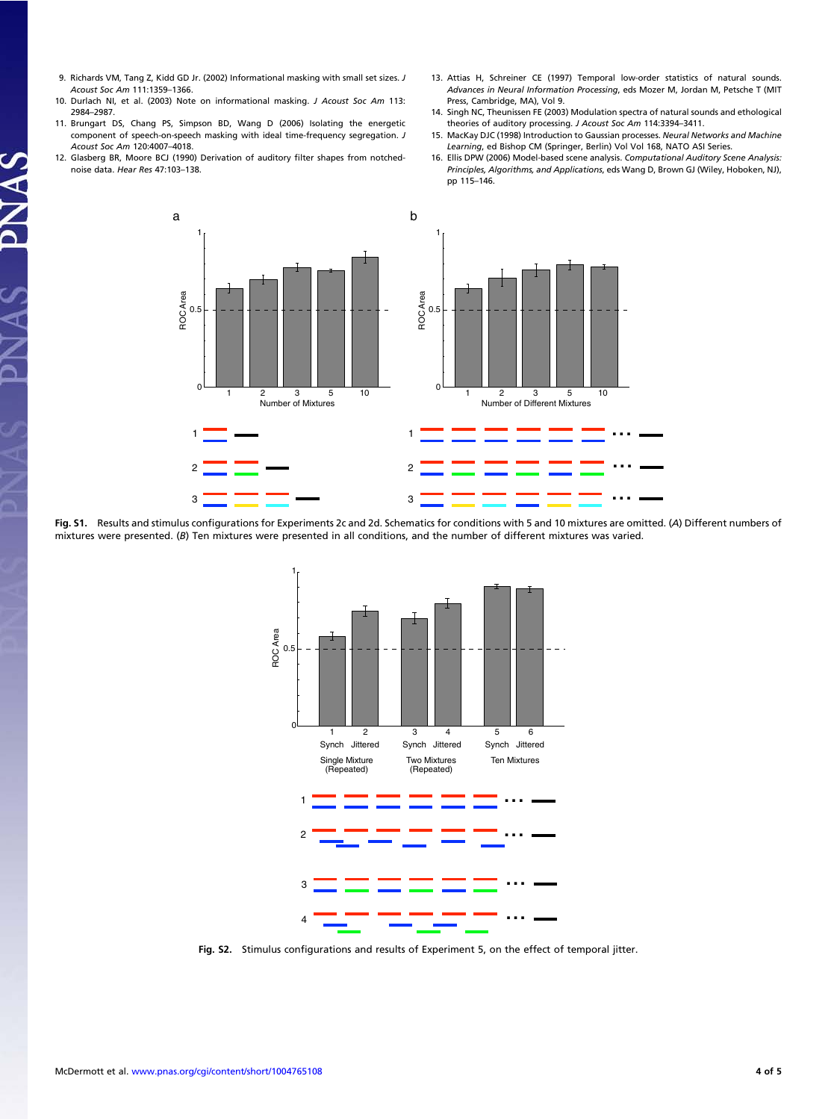- 9. Richards VM, Tang Z, Kidd GD Jr. (2002) Informational masking with small set sizes. J Acoust Soc Am 111:1359–1366.
- 10. Durlach NI, et al. (2003) Note on informational masking. J Acoust Soc Am 113: 2984–2987.
- 11. Brungart DS, Chang PS, Simpson BD, Wang D (2006) Isolating the energetic component of speech-on-speech masking with ideal time-frequency segregation. J Acoust Soc Am 120:4007–4018.
- 12. Glasberg BR, Moore BCJ (1990) Derivation of auditory filter shapes from notchednoise data. Hear Res 47:103–138.
- 13. Attias H, Schreiner CE (1997) Temporal low-order statistics of natural sounds. Advances in Neural Information Processing, eds Mozer M, Jordan M, Petsche T (MIT Press, Cambridge, MA), Vol 9.
- 14. Singh NC, Theunissen FE (2003) Modulation spectra of natural sounds and ethological theories of auditory processing. J Acoust Soc Am 114:3394–3411.
- 15. MacKay DJC (1998) Introduction to Gaussian processes. Neural Networks and Machine Learning, ed Bishop CM (Springer, Berlin) Vol Vol 168, NATO ASI Series.
- 16. Ellis DPW (2006) Model-based scene analysis. Computational Auditory Scene Analysis: Principles, Algorithms, and Applications, eds Wang D, Brown GJ (Wiley, Hoboken, NJ), pp 115–146.

![](_page_9_Figure_8.jpeg)

Fig. S1. Results and stimulus configurations for Experiments 2c and 2d. Schematics for conditions with 5 and 10 mixtures are omitted. (A) Different numbers of mixtures were presented. (B) Ten mixtures were presented in all conditions, and the number of different mixtures was varied.

![](_page_9_Figure_10.jpeg)

Fig. S2. Stimulus configurations and results of Experiment 5, on the effect of temporal jitter.